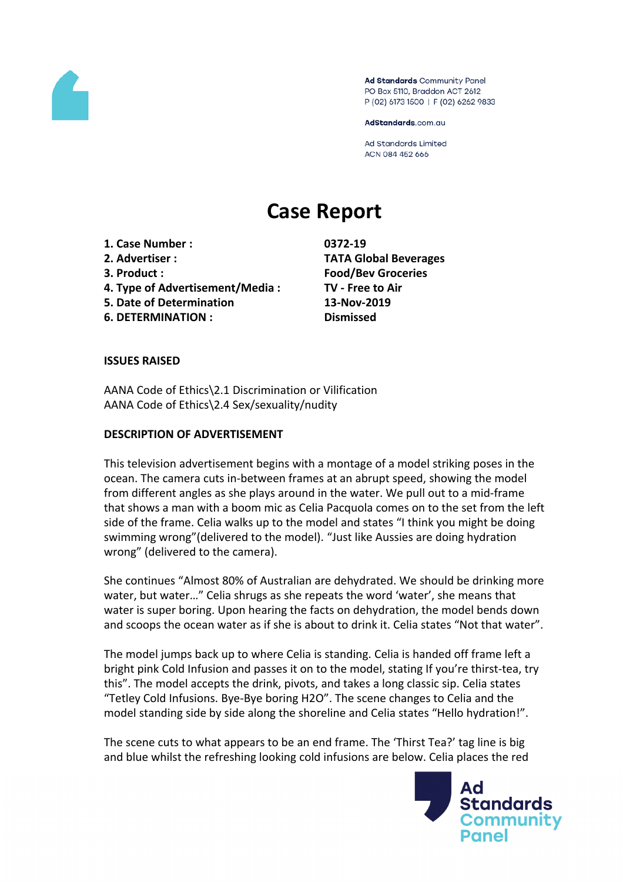

Ad Standards Community Panel PO Box 5110, Braddon ACT 2612 P (02) 6173 1500 | F (02) 6262 9833

AdStandards.com.au

Ad Standards Limited ACN 084 452 666

# **Case Report**

- **1. Case Number : 0372-19**
- 
- 
- **4. Type of Advertisement/Media : TV - Free to Air**
- **5. Date of Determination 13-Nov-2019**
- **6. DETERMINATION : Dismissed**

**2. Advertiser : TATA Global Beverages 3. Product : Food/Bev Groceries**

#### **ISSUES RAISED**

AANA Code of Ethics\2.1 Discrimination or Vilification AANA Code of Ethics\2.4 Sex/sexuality/nudity

#### **DESCRIPTION OF ADVERTISEMENT**

This television advertisement begins with a montage of a model striking poses in the ocean. The camera cuts in-between frames at an abrupt speed, showing the model from different angles as she plays around in the water. We pull out to a mid-frame that shows a man with a boom mic as Celia Pacquola comes on to the set from the left side of the frame. Celia walks up to the model and states "I think you might be doing swimming wrong"(delivered to the model). "Just like Aussies are doing hydration wrong" (delivered to the camera).

She continues "Almost 80% of Australian are dehydrated. We should be drinking more water, but water…" Celia shrugs as she repeats the word 'water', she means that water is super boring. Upon hearing the facts on dehydration, the model bends down and scoops the ocean water as if she is about to drink it. Celia states "Not that water".

The model jumps back up to where Celia is standing. Celia is handed off frame left a bright pink Cold Infusion and passes it on to the model, stating If you're thirst-tea, try this". The model accepts the drink, pivots, and takes a long classic sip. Celia states "Tetley Cold Infusions. Bye-Bye boring H2O". The scene changes to Celia and the model standing side by side along the shoreline and Celia states "Hello hydration!".

The scene cuts to what appears to be an end frame. The 'Thirst Tea?' tag line is big and blue whilst the refreshing looking cold infusions are below. Celia places the red

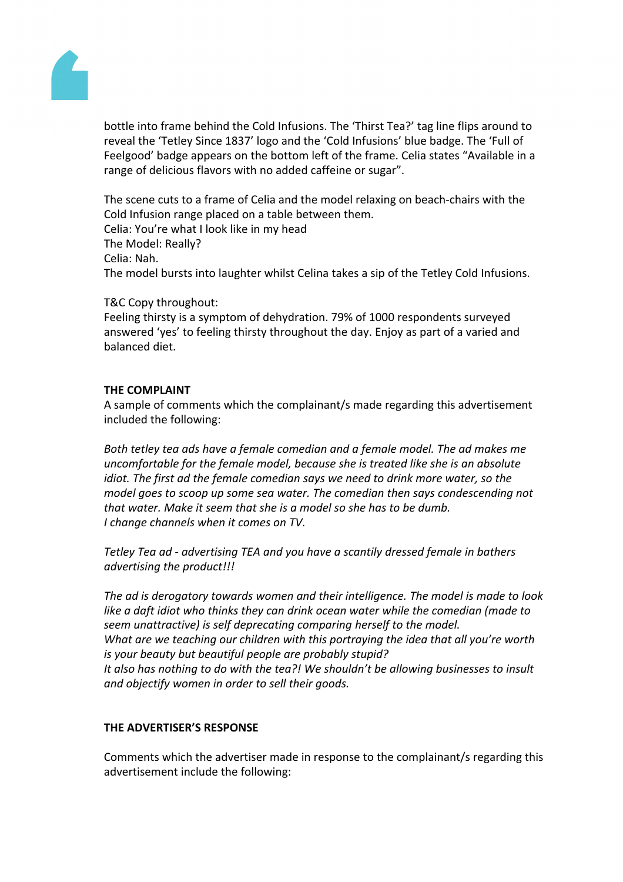

bottle into frame behind the Cold Infusions. The 'Thirst Tea?' tag line flips around to reveal the 'Tetley Since 1837' logo and the 'Cold Infusions' blue badge. The 'Full of Feelgood' badge appears on the bottom left of the frame. Celia states "Available in a range of delicious flavors with no added caffeine or sugar".

The scene cuts to a frame of Celia and the model relaxing on beach-chairs with the Cold Infusion range placed on a table between them. Celia: You're what I look like in my head The Model: Really? Celia: Nah. The model bursts into laughter whilst Celina takes a sip of the Tetley Cold Infusions.

T&C Copy throughout:

Feeling thirsty is a symptom of dehydration. 79% of 1000 respondents surveyed answered 'yes' to feeling thirsty throughout the day. Enjoy as part of a varied and balanced diet.

#### **THE COMPLAINT**

A sample of comments which the complainant/s made regarding this advertisement included the following:

*Both tetley tea ads have a female comedian and a female model. The ad makes me uncomfortable for the female model, because she is treated like she is an absolute idiot. The first ad the female comedian says we need to drink more water, so the model goes to scoop up some sea water. The comedian then says condescending not that water. Make it seem that she is a model so she has to be dumb. I change channels when it comes on TV.*

*Tetley Tea ad - advertising TEA and you have a scantily dressed female in bathers advertising the product!!!*

*The ad is derogatory towards women and their intelligence. The model is made to look like a daft idiot who thinks they can drink ocean water while the comedian (made to seem unattractive) is self deprecating comparing herself to the model. What are we teaching our children with this portraying the idea that all you're worth is your beauty but beautiful people are probably stupid? It also has nothing to do with the tea?! We shouldn't be allowing businesses to insult and objectify women in order to sell their goods.*

## **THE ADVERTISER'S RESPONSE**

Comments which the advertiser made in response to the complainant/s regarding this advertisement include the following: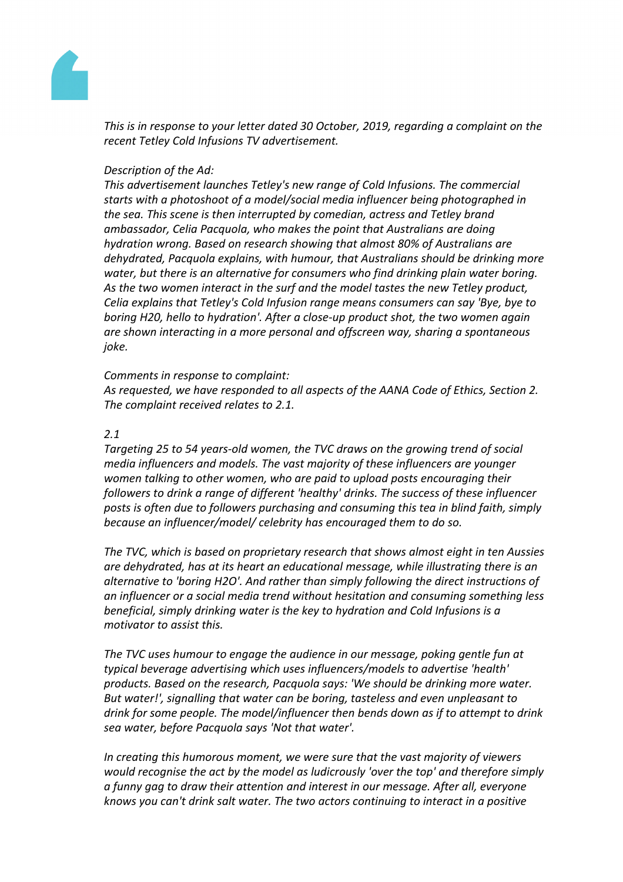

*This is in response to your letter dated 30 October, 2019, regarding a complaint on the recent Tetley Cold Infusions TV advertisement.*

#### *Description of the Ad:*

*This advertisement launches Tetley's new range of Cold Infusions. The commercial starts with a photoshoot of a model/social media influencer being photographed in the sea. This scene is then interrupted by comedian, actress and Tetley brand ambassador, Celia Pacquola, who makes the point that Australians are doing hydration wrong. Based on research showing that almost 80% of Australians are dehydrated, Pacquola explains, with humour, that Australians should be drinking more water, but there is an alternative for consumers who find drinking plain water boring. As the two women interact in the surf and the model tastes the new Tetley product, Celia explains that Tetley's Cold Infusion range means consumers can say 'Bye, bye to boring H20, hello to hydration'. After a close-up product shot, the two women again are shown interacting in a more personal and offscreen way, sharing a spontaneous joke.* 

#### *Comments in response to complaint:*

*As requested, we have responded to all aspects of the AANA Code of Ethics, Section 2. The complaint received relates to 2.1.*

#### *2.1*

*Targeting 25 to 54 years-old women, the TVC draws on the growing trend of social media influencers and models. The vast majority of these influencers are younger women talking to other women, who are paid to upload posts encouraging their followers to drink a range of different 'healthy' drinks. The success of these influencer posts is often due to followers purchasing and consuming this tea in blind faith, simply because an influencer/model/ celebrity has encouraged them to do so.*

*The TVC, which is based on proprietary research that shows almost eight in ten Aussies are dehydrated, has at its heart an educational message, while illustrating there is an alternative to 'boring H2O'. And rather than simply following the direct instructions of an influencer or a social media trend without hesitation and consuming something less beneficial, simply drinking water is the key to hydration and Cold Infusions is a motivator to assist this.*

*The TVC uses humour to engage the audience in our message, poking gentle fun at typical beverage advertising which uses influencers/models to advertise 'health' products. Based on the research, Pacquola says: 'We should be drinking more water. But water!', signalling that water can be boring, tasteless and even unpleasant to drink for some people. The model/influencer then bends down as if to attempt to drink sea water, before Pacquola says 'Not that water'.*

*In creating this humorous moment, we were sure that the vast majority of viewers would recognise the act by the model as ludicrously 'over the top' and therefore simply a funny gag to draw their attention and interest in our message. After all, everyone knows you can't drink salt water. The two actors continuing to interact in a positive*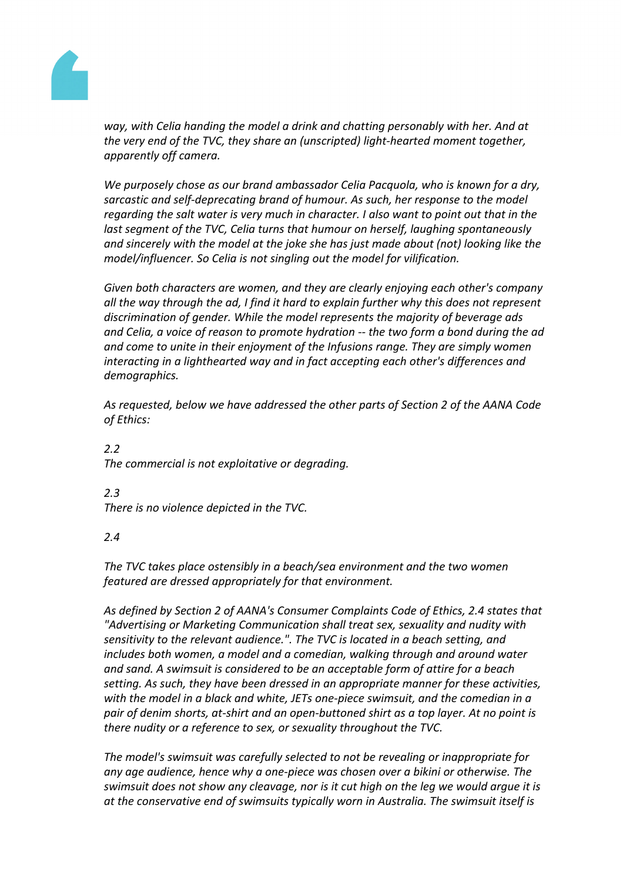

*way, with Celia handing the model a drink and chatting personably with her. And at the very end of the TVC, they share an (unscripted) light-hearted moment together, apparently off camera.*

*We purposely chose as our brand ambassador Celia Pacquola, who is known for a dry, sarcastic and self-deprecating brand of humour. As such, her response to the model regarding the salt water is very much in character. I also want to point out that in the last segment of the TVC, Celia turns that humour on herself, laughing spontaneously and sincerely with the model at the joke she has just made about (not) looking like the model/influencer. So Celia is not singling out the model for vilification.*

*Given both characters are women, and they are clearly enjoying each other's company all the way through the ad, I find it hard to explain further why this does not represent discrimination of gender. While the model represents the majority of beverage ads and Celia, a voice of reason to promote hydration -- the two form a bond during the ad and come to unite in their enjoyment of the Infusions range. They are simply women interacting in a lighthearted way and in fact accepting each other's differences and demographics.*

*As requested, below we have addressed the other parts of Section 2 of the AANA Code of Ethics:*

*2.2 The commercial is not exploitative or degrading.*

## *2.3*

*There is no violence depicted in the TVC.*

## *2.4*

*The TVC takes place ostensibly in a beach/sea environment and the two women featured are dressed appropriately for that environment.*

*As defined by Section 2 of AANA's Consumer Complaints Code of Ethics, 2.4 states that "Advertising or Marketing Communication shall treat sex, sexuality and nudity with sensitivity to the relevant audience.". The TVC is located in a beach setting, and includes both women, a model and a comedian, walking through and around water and sand. A swimsuit is considered to be an acceptable form of attire for a beach setting. As such, they have been dressed in an appropriate manner for these activities, with the model in a black and white, JETs one-piece swimsuit, and the comedian in a pair of denim shorts, at-shirt and an open-buttoned shirt as a top layer. At no point is there nudity or a reference to sex, or sexuality throughout the TVC.*

*The model's swimsuit was carefully selected to not be revealing or inappropriate for any age audience, hence why a one-piece was chosen over a bikini or otherwise. The swimsuit does not show any cleavage, nor is it cut high on the leg we would argue it is at the conservative end of swimsuits typically worn in Australia. The swimsuit itself is*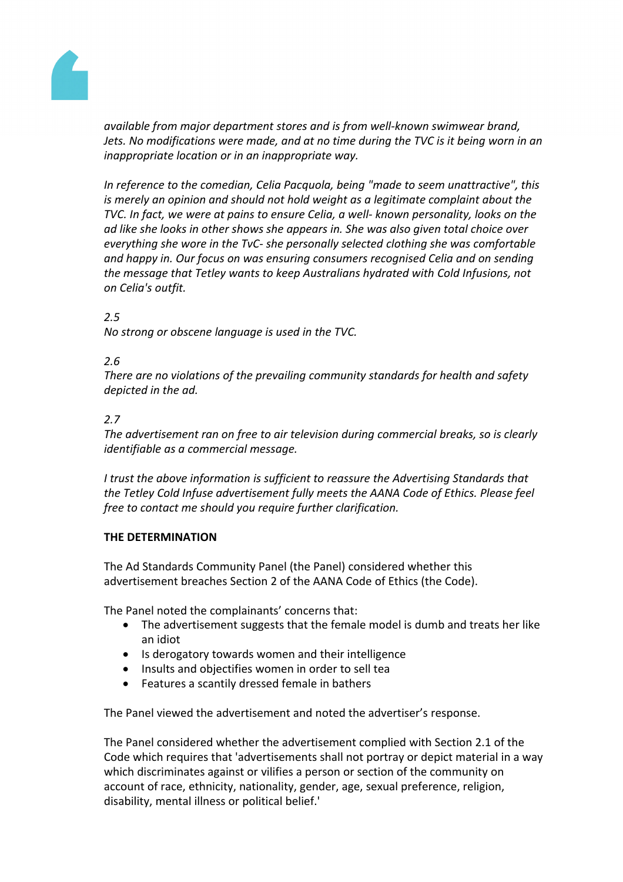

*available from major department stores and is from well-known swimwear brand, Jets. No modifications were made, and at no time during the TVC is it being worn in an inappropriate location or in an inappropriate way.*

*In reference to the comedian, Celia Pacquola, being "made to seem unattractive", this is merely an opinion and should not hold weight as a legitimate complaint about the TVC. In fact, we were at pains to ensure Celia, a well- known personality, looks on the ad like she looks in other shows she appears in. She was also given total choice over everything she wore in the TvC- she personally selected clothing she was comfortable and happy in. Our focus on was ensuring consumers recognised Celia and on sending the message that Tetley wants to keep Australians hydrated with Cold Infusions, not on Celia's outfit.*

## *2.5*

*No strong or obscene language is used in the TVC.*

## *2.6*

*There are no violations of the prevailing community standards for health and safety depicted in the ad.*

#### *2.7*

*The advertisement ran on free to air television during commercial breaks, so is clearly identifiable as a commercial message.*

*I trust the above information is sufficient to reassure the Advertising Standards that the Tetley Cold Infuse advertisement fully meets the AANA Code of Ethics. Please feel free to contact me should you require further clarification.*

#### **THE DETERMINATION**

The Ad Standards Community Panel (the Panel) considered whether this advertisement breaches Section 2 of the AANA Code of Ethics (the Code).

The Panel noted the complainants' concerns that:

- The advertisement suggests that the female model is dumb and treats her like an idiot
- Is derogatory towards women and their intelligence
- Insults and objectifies women in order to sell tea
- Features a scantily dressed female in bathers

The Panel viewed the advertisement and noted the advertiser's response.

The Panel considered whether the advertisement complied with Section 2.1 of the Code which requires that 'advertisements shall not portray or depict material in a way which discriminates against or vilifies a person or section of the community on account of race, ethnicity, nationality, gender, age, sexual preference, religion, disability, mental illness or political belief.'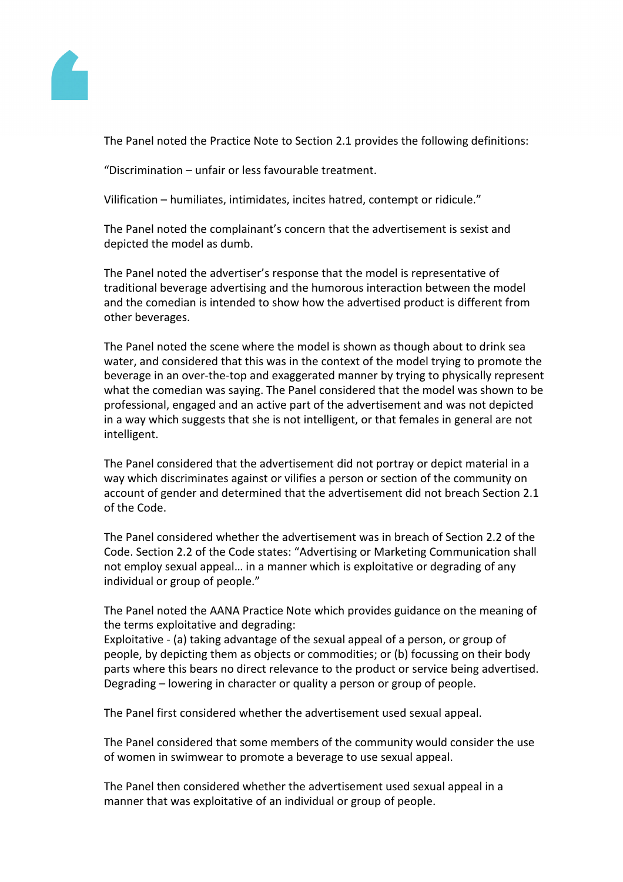

The Panel noted the Practice Note to Section 2.1 provides the following definitions:

"Discrimination – unfair or less favourable treatment.

Vilification – humiliates, intimidates, incites hatred, contempt or ridicule."

The Panel noted the complainant's concern that the advertisement is sexist and depicted the model as dumb.

The Panel noted the advertiser's response that the model is representative of traditional beverage advertising and the humorous interaction between the model and the comedian is intended to show how the advertised product is different from other beverages.

The Panel noted the scene where the model is shown as though about to drink sea water, and considered that this was in the context of the model trying to promote the beverage in an over-the-top and exaggerated manner by trying to physically represent what the comedian was saying. The Panel considered that the model was shown to be professional, engaged and an active part of the advertisement and was not depicted in a way which suggests that she is not intelligent, or that females in general are not intelligent.

The Panel considered that the advertisement did not portray or depict material in a way which discriminates against or vilifies a person or section of the community on account of gender and determined that the advertisement did not breach Section 2.1 of the Code.

The Panel considered whether the advertisement was in breach of Section 2.2 of the Code. Section 2.2 of the Code states: "Advertising or Marketing Communication shall not employ sexual appeal… in a manner which is exploitative or degrading of any individual or group of people."

The Panel noted the AANA Practice Note which provides guidance on the meaning of the terms exploitative and degrading:

Exploitative - (a) taking advantage of the sexual appeal of a person, or group of people, by depicting them as objects or commodities; or (b) focussing on their body parts where this bears no direct relevance to the product or service being advertised. Degrading – lowering in character or quality a person or group of people.

The Panel first considered whether the advertisement used sexual appeal.

The Panel considered that some members of the community would consider the use of women in swimwear to promote a beverage to use sexual appeal.

The Panel then considered whether the advertisement used sexual appeal in a manner that was exploitative of an individual or group of people.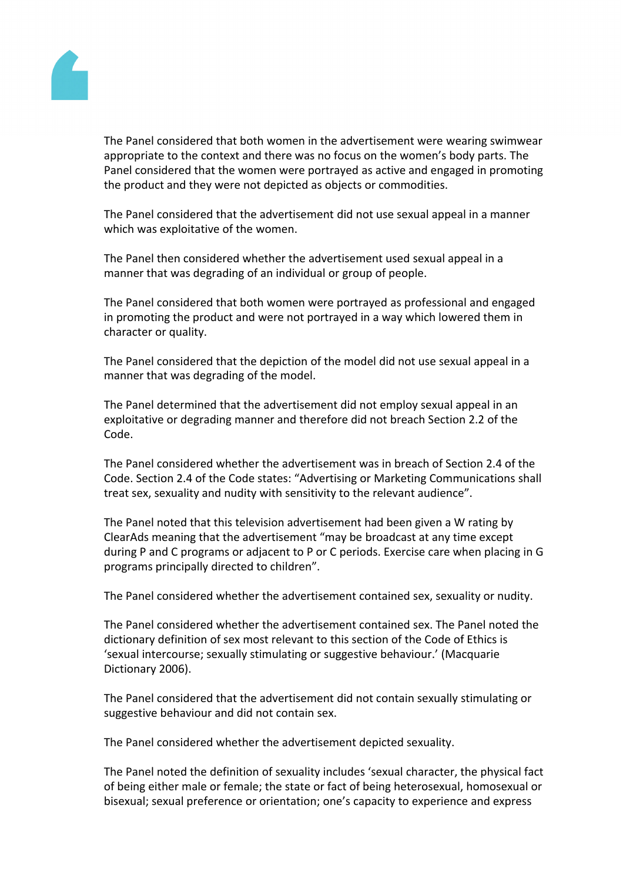

The Panel considered that both women in the advertisement were wearing swimwear appropriate to the context and there was no focus on the women's body parts. The Panel considered that the women were portrayed as active and engaged in promoting the product and they were not depicted as objects or commodities.

The Panel considered that the advertisement did not use sexual appeal in a manner which was exploitative of the women.

The Panel then considered whether the advertisement used sexual appeal in a manner that was degrading of an individual or group of people.

The Panel considered that both women were portrayed as professional and engaged in promoting the product and were not portrayed in a way which lowered them in character or quality.

The Panel considered that the depiction of the model did not use sexual appeal in a manner that was degrading of the model.

The Panel determined that the advertisement did not employ sexual appeal in an exploitative or degrading manner and therefore did not breach Section 2.2 of the Code.

The Panel considered whether the advertisement was in breach of Section 2.4 of the Code. Section 2.4 of the Code states: "Advertising or Marketing Communications shall treat sex, sexuality and nudity with sensitivity to the relevant audience".

The Panel noted that this television advertisement had been given a W rating by ClearAds meaning that the advertisement "may be broadcast at any time except during P and C programs or adjacent to P or C periods. Exercise care when placing in G programs principally directed to children".

The Panel considered whether the advertisement contained sex, sexuality or nudity.

The Panel considered whether the advertisement contained sex. The Panel noted the dictionary definition of sex most relevant to this section of the Code of Ethics is 'sexual intercourse; sexually stimulating or suggestive behaviour.' (Macquarie Dictionary 2006).

The Panel considered that the advertisement did not contain sexually stimulating or suggestive behaviour and did not contain sex.

The Panel considered whether the advertisement depicted sexuality.

The Panel noted the definition of sexuality includes 'sexual character, the physical fact of being either male or female; the state or fact of being heterosexual, homosexual or bisexual; sexual preference or orientation; one's capacity to experience and express